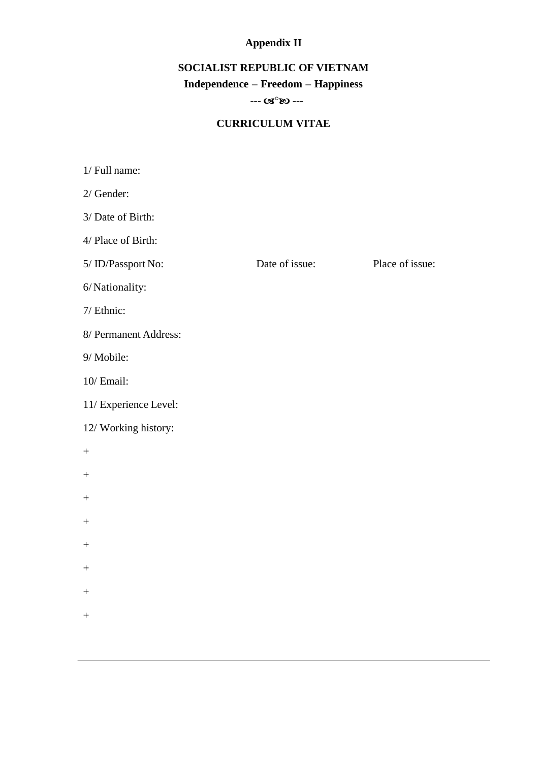# **Appendix II**

## **SOCIALIST REPUBLIC OF VIETNAM**

### **Independence – Freedom – Happiness**

#### $- - \alpha s^{\circ}$   $\infty$  ---

### **CURRICULUM VITAE**

| 1/ Full name:         |                |                 |
|-----------------------|----------------|-----------------|
| $2/$ Gender:          |                |                 |
| 3/ Date of Birth:     |                |                 |
| 4/ Place of Birth:    |                |                 |
| 5/ ID/Passport No:    | Date of issue: | Place of issue: |
| 6/Nationality:        |                |                 |
| 7/ Ethnic:            |                |                 |
| 8/ Permanent Address: |                |                 |
| 9/ Mobile:            |                |                 |
| 10/ Email:            |                |                 |
| 11/ Experience Level: |                |                 |
| 12/ Working history:  |                |                 |
| $\boldsymbol{+}$      |                |                 |
| $\boldsymbol{+}$      |                |                 |
| $\boldsymbol{+}$      |                |                 |
| $\boldsymbol{+}$      |                |                 |
| $\boldsymbol{+}$      |                |                 |
| $\boldsymbol{+}$      |                |                 |
| $^{+}$                |                |                 |
| $\boldsymbol{+}$      |                |                 |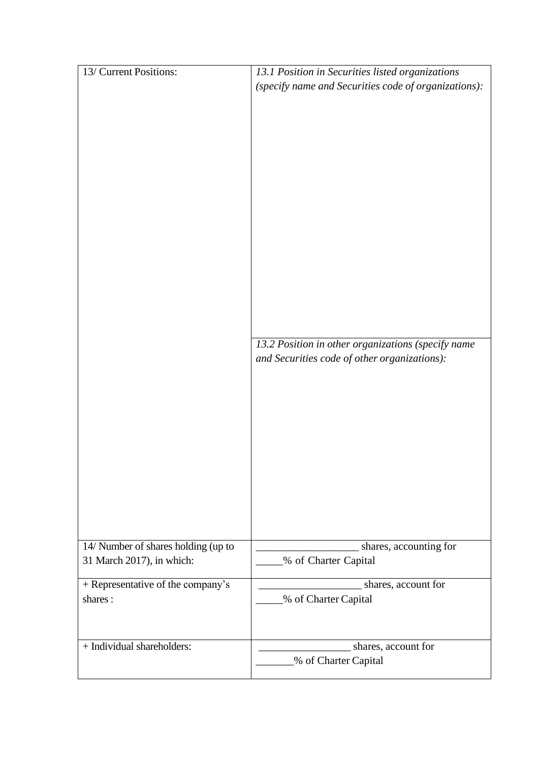| 13/ Current Positions:                       | 13.1 Position in Securities listed organizations<br>(specify name and Securities code of organizations):<br>13.2 Position in other organizations (specify name<br>and Securities code of other organizations): |
|----------------------------------------------|----------------------------------------------------------------------------------------------------------------------------------------------------------------------------------------------------------------|
| 14/ Number of shares holding (up to          | shares, accounting for                                                                                                                                                                                         |
| 31 March 2017), in which:                    | % of Charter Capital                                                                                                                                                                                           |
| + Representative of the company's<br>shares: | shares, account for<br>% of Charter Capital                                                                                                                                                                    |
| + Individual shareholders:                   | shares, account for<br>% of Charter Capital                                                                                                                                                                    |